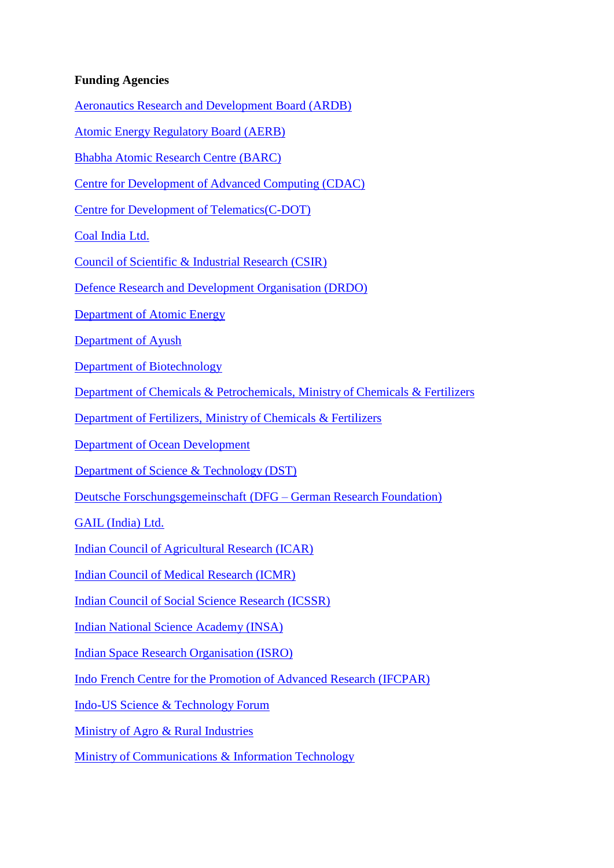## **Funding Agencies**

Aeronautics Research and [Development](http://drdo.gov.in/drdo/boards/ardb/index.htm) Board (ARDB)

Atomic Energy Regulatory [Board \(AERB\)](http://www.aerb.gov.in/)

Bhabha Atomic [Research](http://www.barc.gov.in/) Centre (BARC)

Centre for [Development](http://www.cdac.in/) of Advanced Computing (CDAC)

Centre for Development of [Telematics\(C-DOT\)](https://www.cdot.in/cdotweb/web/home.php?lang=en)

Coal [India](http://www.coalindia.in/) Ltd.

Council of [Scientific](http://www.csir.res.in/) & Industrial Research (CSIR)

Defence Research and [Development](https://www.drdo.gov.in/) Organisation (DRDO)

[Department](http://www.dae.gov.in/) of Atomic Energy

[Department](https://main.ayush.gov.in/) of Ayush

Department of [Biotechnology](https://dbtindia.gov.in/)

Department of Chemicals & [Petrochemicals, Ministry](http://chemicals.nic.in/) of Chemicals & Fertilizers

[Department](http://fert.nic.in/) of Fertilizers, Ministry of Chemicals & Fertilizers

Department of Ocean [Development](http://dod.nic.in/)

Department of Science & [Technology](http://dst.gov.in/) (DST)

Deutsche [Forschungsgemeinschaft](http://www.dfg.de/en/) (DFG – German Research Foundation)

GAIL [\(India\)](http://www.gail.nic.in/) Ltd.

Indian Council of [Agricultural](http://www.icar.org.in/) Research (ICAR)

Indian Council of Medical [Research](http://www.icmr.nic.in/) (ICMR)

Indian Council of Social Science [Research](http://www.icssr.org/) (ICSSR)

Indian National Science [Academy](https://www.insaindia.res.in/) (INSA)

Indian Space Research [Organisation](http://www.isro.org/) (ISRO)

Indo French Centre for the [Promotion](http://www.cefipra.org/) of Advanced Research (IFCPAR)

Indo-US Science & [Technology](http://www.indousstf.org/) Forum

Ministry of Agro & Rural [Industries](http://ari.nic.in/)

Ministry of [Communications](http://www.mit.gov.in/) & Information Technology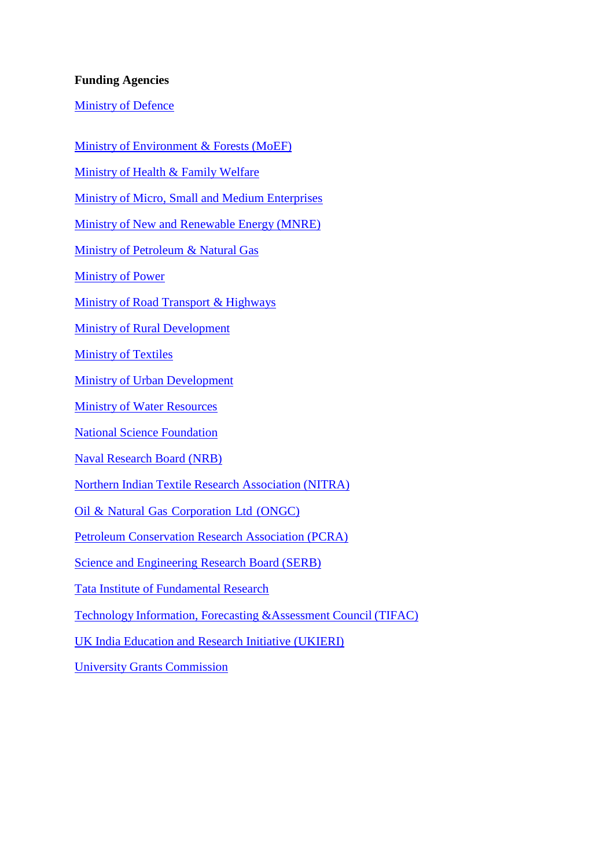## **Funding Agencies**

**[Ministry](http://www.mod.nic.in/) of Defence** 

Ministry of [Environment](http://envfor.nic.in/) & Forests (MoEF)

[Ministry](http://mohfw.nic.in/) of Health & Family Welfare

Ministry of Micro, Small and Medium [Enterprises](http://msme.gov.in/)

Ministry of New and [Renewable Energy](http://www.mnre.gov.in/) (MNRE)

Ministry of [Petroleum](http://petroleum.nic.in/) & Natural Gas

[Ministry](http://powermin.nic.in/) of Power

Ministry of [Road Transport](http://morth.nic.in/) & Highways

Ministry of Rural [Development](http://www.rural.nic.in/)

[Ministry](http://texmin.nic.in/) of Textiles

Ministry of Urban [Development](http://moud.gov.in/)

Ministry of Water [Resources](http://wrmin.nic.in/)

National Science [Foundation](http://www.nsf.gov/)

Naval Research [Board \(NRB\)](http://14.139.225.154/index.html)

Northern Indian Textile Research [Association](http://www.nitratextile.org/) (NITRA)

Oil & Natural Gas [Corporation](http://www.ongcindia.com/) Ltd (ONGC)

[Petroleum Conservation Research Association \(PCRA\)](http://www.pcra.org/)

Science and [Engineering](http://www.serb.gov.in/) Research Board (SERB)

Tata Institute of [Fundamental](http://www.tifr.res.in/) Research

Technology Information, Forecasting [&Assessment](http://www.tifac.org.in/) Council (TIFAC)

UK India [Education](http://www.ukieri.org/) and Research Initiative (UKIERI)

University Grants [Commission](http://www.ugc.ac.in/)